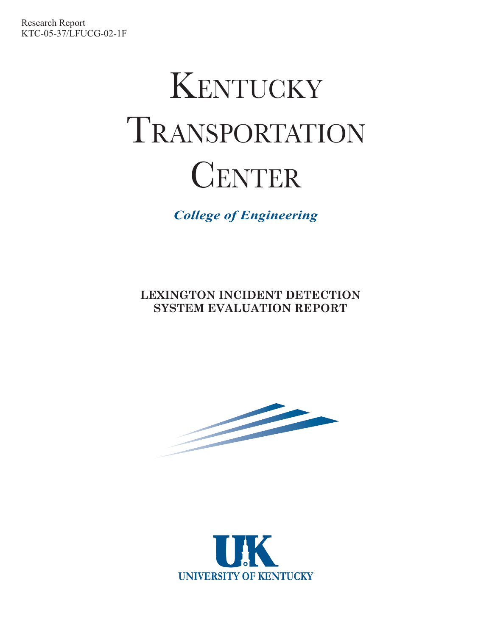# K ENTUCKY T RANSPORTATION **CENTER**

*College of Engineering*

**LEXINGTON INCIDENT DETECTION SYSTEM EVALUATION REPORT**



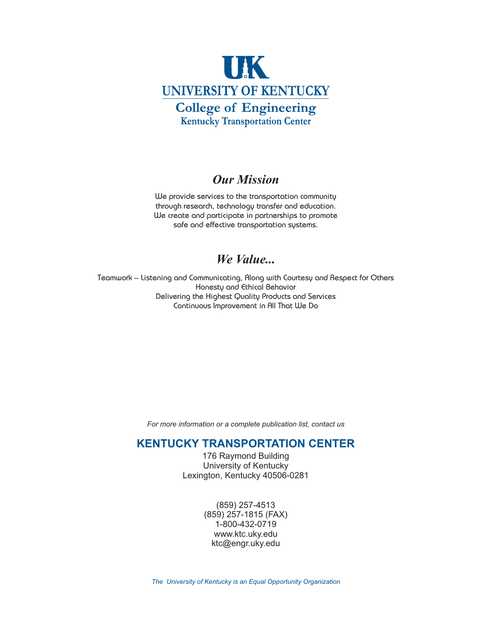

#### **Our Mission**

We provide services to the transportation community *Our Mission* through research, technology transfer and education. We create and participate in partnerships to promote safe and effective transportation systems.

#### We Value...

*We Value...* Teamwork -- Listening and Communicating, Along with Courtesy and Respect for Others Honesty and Ethical Behavior Delivering the Highest Quality Products and Services Continuous Improvement in All That We Do

*For more information or a complete publication list, contact us*

#### **KENTUCKY TRANSPORTATION CENTER**

176 Raymond Building University of Kentucky Lexington, Kentucky 40506-0281

> (859) 257-4513 (859) 257-1815 (FAX) 1-800-432-0719 www.ktc.uky.edu ktc@engr.uky.edu

*The University of Kentucky is an Equal Opportunity Organization*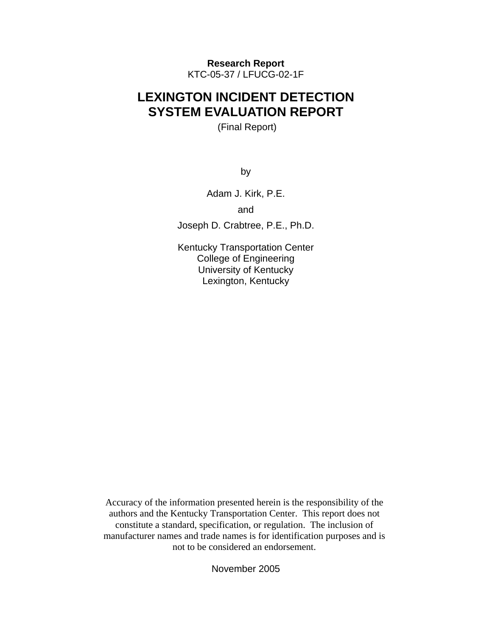**Research Report**  KTC-05-37 / LFUCG-02-1F

#### **LEXINGTON INCIDENT DETECTION SYSTEM EVALUATION REPORT**

(Final Report)

by

Adam J. Kirk, P.E.

and

Joseph D. Crabtree, P.E., Ph.D.

Kentucky Transportation Center College of Engineering University of Kentucky Lexington, Kentucky

Accuracy of the information presented herein is the responsibility of the authors and the Kentucky Transportation Center. This report does not constitute a standard, specification, or regulation. The inclusion of manufacturer names and trade names is for identification purposes and is not to be considered an endorsement.

November 2005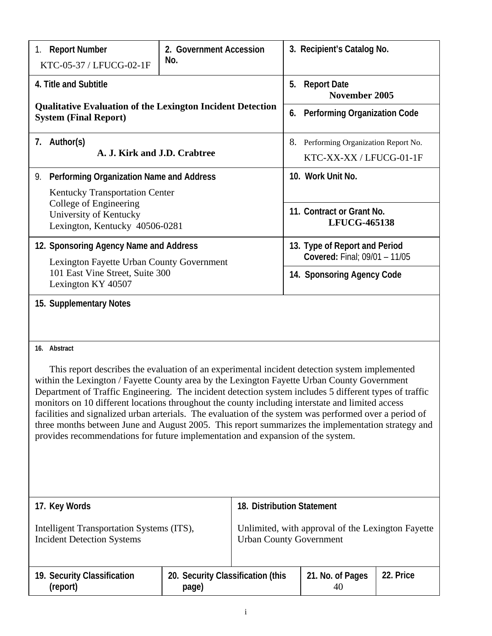| 1. Report Number<br>2. Government Accession<br>No.<br>KTC-05-37 / LFUCG-02-1F                                                                                                                                                                                                                                                                                                                      |  |                                                       | 3. Recipient's Catalog No.                                                          |           |  |
|----------------------------------------------------------------------------------------------------------------------------------------------------------------------------------------------------------------------------------------------------------------------------------------------------------------------------------------------------------------------------------------------------|--|-------------------------------------------------------|-------------------------------------------------------------------------------------|-----------|--|
| 4. Title and Subtitle                                                                                                                                                                                                                                                                                                                                                                              |  | 5.                                                    | <b>Report Date</b><br>November 2005                                                 |           |  |
| <b>Qualitative Evaluation of the Lexington Incident Detection</b><br><b>System (Final Report)</b>                                                                                                                                                                                                                                                                                                  |  |                                                       | 6. Performing Organization Code                                                     |           |  |
| 7. Author(s)<br>A. J. Kirk and J.D. Crabtree                                                                                                                                                                                                                                                                                                                                                       |  |                                                       | 8. Performing Organization Report No.<br>KTC-XX-XX / LFUCG-01-1F                    |           |  |
| Performing Organization Name and Address<br>9.                                                                                                                                                                                                                                                                                                                                                     |  |                                                       | 10. Work Unit No.                                                                   |           |  |
| Kentucky Transportation Center                                                                                                                                                                                                                                                                                                                                                                     |  |                                                       |                                                                                     |           |  |
| College of Engineering<br>University of Kentucky<br>Lexington, Kentucky 40506-0281                                                                                                                                                                                                                                                                                                                 |  |                                                       | 11. Contract or Grant No.<br><b>LFUCG-465138</b>                                    |           |  |
| 12. Sponsoring Agency Name and Address<br>Lexington Fayette Urban County Government                                                                                                                                                                                                                                                                                                                |  |                                                       | 13. Type of Report and Period<br>Covered: Final; 09/01 - 11/05                      |           |  |
| 101 East Vine Street, Suite 300<br>Lexington KY 40507                                                                                                                                                                                                                                                                                                                                              |  |                                                       | 14. Sponsoring Agency Code                                                          |           |  |
| 15. Supplementary Notes<br>16. Abstract<br>This report describes the evaluation of an experimental incident detection system implemented<br>within the Lexington / Fayette County area by the Lexington Fayette Urban County Government<br>Department of Traffic Engineering. The incident detection system includes 5 different types of traffic                                                  |  |                                                       |                                                                                     |           |  |
| monitors on 10 different locations throughout the county including interstate and limited access<br>facilities and signalized urban arterials. The evaluation of the system was performed over a period of<br>three months between June and August 2005. This report summarizes the implementation strategy and<br>provides recommendations for future implementation and expansion of the system. |  |                                                       |                                                                                     |           |  |
| 17. Key Words                                                                                                                                                                                                                                                                                                                                                                                      |  |                                                       | 18. Distribution Statement                                                          |           |  |
| Intelligent Transportation Systems (ITS),<br><b>Incident Detection Systems</b>                                                                                                                                                                                                                                                                                                                     |  |                                                       | Unlimited, with approval of the Lexington Fayette<br><b>Urban County Government</b> |           |  |
| 19. Security Classification                                                                                                                                                                                                                                                                                                                                                                        |  | 20. Security Classification (this<br>21. No. of Pages |                                                                                     | 22. Price |  |

**(report)**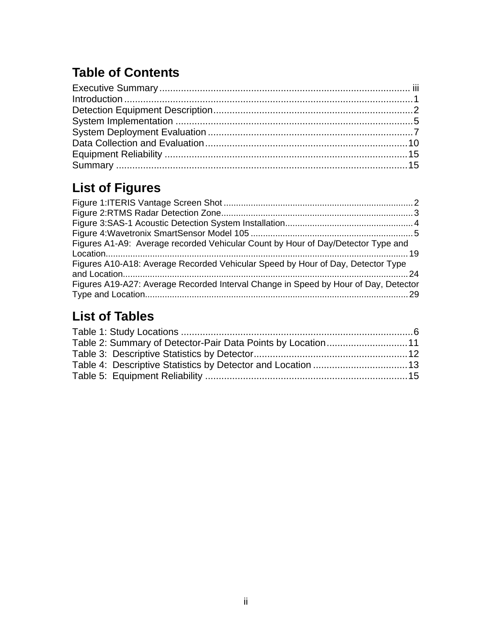# **Table of Contents**

# **List of Figures**

| Figures A1-A9: Average recorded Vehicular Count by Hour of Day/Detector Type and    |  |
|-------------------------------------------------------------------------------------|--|
| Figures A10-A18: Average Recorded Vehicular Speed by Hour of Day, Detector Type     |  |
| Figures A19-A27: Average Recorded Interval Change in Speed by Hour of Day, Detector |  |

# **List of Tables**

| Table 2: Summary of Detector-Pair Data Points by Location11 |  |
|-------------------------------------------------------------|--|
|                                                             |  |
|                                                             |  |
|                                                             |  |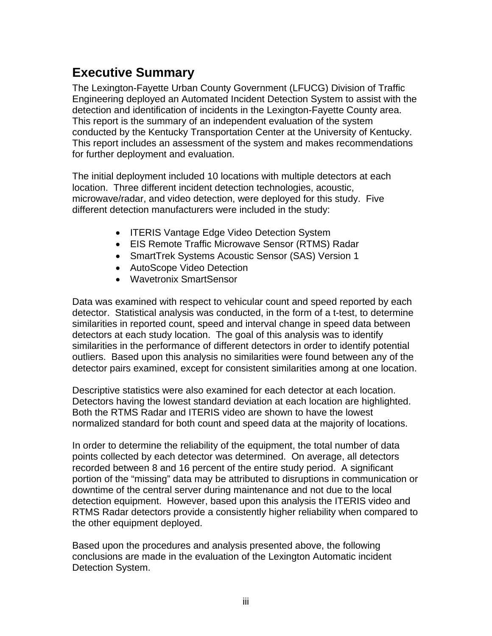#### **Executive Summary**

The Lexington-Fayette Urban County Government (LFUCG) Division of Traffic Engineering deployed an Automated Incident Detection System to assist with the detection and identification of incidents in the Lexington-Fayette County area. This report is the summary of an independent evaluation of the system conducted by the Kentucky Transportation Center at the University of Kentucky. This report includes an assessment of the system and makes recommendations for further deployment and evaluation.

The initial deployment included 10 locations with multiple detectors at each location. Three different incident detection technologies, acoustic, microwave/radar, and video detection, were deployed for this study. Five different detection manufacturers were included in the study:

- ITERIS Vantage Edge Video Detection System
- EIS Remote Traffic Microwave Sensor (RTMS) Radar
- SmartTrek Systems Acoustic Sensor (SAS) Version 1
- AutoScope Video Detection
- Wavetronix SmartSensor

Data was examined with respect to vehicular count and speed reported by each detector. Statistical analysis was conducted, in the form of a t-test, to determine similarities in reported count, speed and interval change in speed data between detectors at each study location. The goal of this analysis was to identify similarities in the performance of different detectors in order to identify potential outliers. Based upon this analysis no similarities were found between any of the detector pairs examined, except for consistent similarities among at one location.

Descriptive statistics were also examined for each detector at each location. Detectors having the lowest standard deviation at each location are highlighted. Both the RTMS Radar and ITERIS video are shown to have the lowest normalized standard for both count and speed data at the majority of locations.

In order to determine the reliability of the equipment, the total number of data points collected by each detector was determined. On average, all detectors recorded between 8 and 16 percent of the entire study period. A significant portion of the "missing" data may be attributed to disruptions in communication or downtime of the central server during maintenance and not due to the local detection equipment. However, based upon this analysis the ITERIS video and RTMS Radar detectors provide a consistently higher reliability when compared to the other equipment deployed.

Based upon the procedures and analysis presented above, the following conclusions are made in the evaluation of the Lexington Automatic incident Detection System.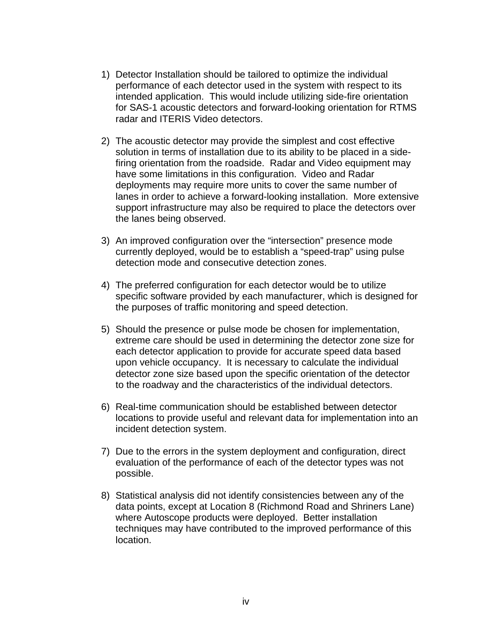- 1) Detector Installation should be tailored to optimize the individual performance of each detector used in the system with respect to its intended application. This would include utilizing side-fire orientation for SAS-1 acoustic detectors and forward-looking orientation for RTMS radar and ITERIS Video detectors.
- 2) The acoustic detector may provide the simplest and cost effective solution in terms of installation due to its ability to be placed in a sidefiring orientation from the roadside. Radar and Video equipment may have some limitations in this configuration. Video and Radar deployments may require more units to cover the same number of lanes in order to achieve a forward-looking installation. More extensive support infrastructure may also be required to place the detectors over the lanes being observed.
- 3) An improved configuration over the "intersection" presence mode currently deployed, would be to establish a "speed-trap" using pulse detection mode and consecutive detection zones.
- 4) The preferred configuration for each detector would be to utilize specific software provided by each manufacturer, which is designed for the purposes of traffic monitoring and speed detection.
- 5) Should the presence or pulse mode be chosen for implementation, extreme care should be used in determining the detector zone size for each detector application to provide for accurate speed data based upon vehicle occupancy. It is necessary to calculate the individual detector zone size based upon the specific orientation of the detector to the roadway and the characteristics of the individual detectors.
- 6) Real-time communication should be established between detector locations to provide useful and relevant data for implementation into an incident detection system.
- 7) Due to the errors in the system deployment and configuration, direct evaluation of the performance of each of the detector types was not possible.
- 8) Statistical analysis did not identify consistencies between any of the data points, except at Location 8 (Richmond Road and Shriners Lane) where Autoscope products were deployed. Better installation techniques may have contributed to the improved performance of this location.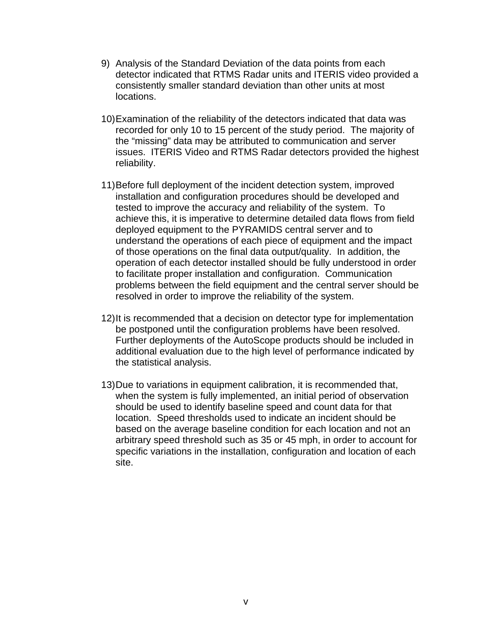- 9) Analysis of the Standard Deviation of the data points from each detector indicated that RTMS Radar units and ITERIS video provided a consistently smaller standard deviation than other units at most locations.
- 10) Examination of the reliability of the detectors indicated that data was recorded for only 10 to 15 percent of the study period. The majority of the "missing" data may be attributed to communication and server issues. ITERIS Video and RTMS Radar detectors provided the highest reliability.
- 11) Before full deployment of the incident detection system, improved installation and configuration procedures should be developed and tested to improve the accuracy and reliability of the system. To achieve this, it is imperative to determine detailed data flows from field deployed equipment to the PYRAMIDS central server and to understand the operations of each piece of equipment and the impact of those operations on the final data output/quality. In addition, the operation of each detector installed should be fully understood in order to facilitate proper installation and configuration. Communication problems between the field equipment and the central server should be resolved in order to improve the reliability of the system.
- 12) It is recommended that a decision on detector type for implementation be postponed until the configuration problems have been resolved. Further deployments of the AutoScope products should be included in additional evaluation due to the high level of performance indicated by the statistical analysis.
- 13) Due to variations in equipment calibration, it is recommended that, when the system is fully implemented, an initial period of observation should be used to identify baseline speed and count data for that location. Speed thresholds used to indicate an incident should be based on the average baseline condition for each location and not an arbitrary speed threshold such as 35 or 45 mph, in order to account for specific variations in the installation, configuration and location of each site.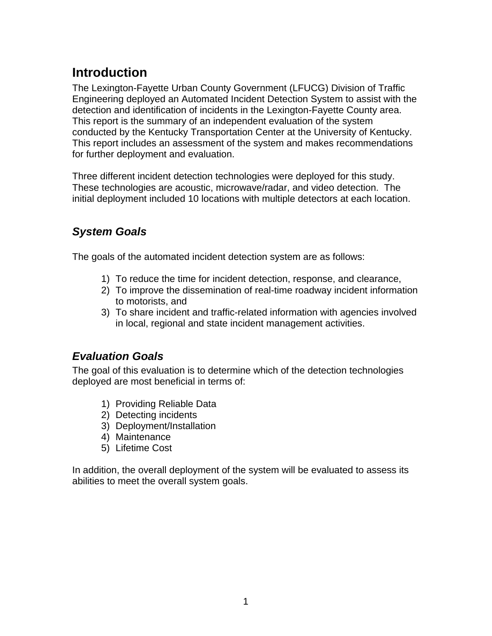## **Introduction**

The Lexington-Fayette Urban County Government (LFUCG) Division of Traffic Engineering deployed an Automated Incident Detection System to assist with the detection and identification of incidents in the Lexington-Fayette County area. This report is the summary of an independent evaluation of the system conducted by the Kentucky Transportation Center at the University of Kentucky. This report includes an assessment of the system and makes recommendations for further deployment and evaluation.

Three different incident detection technologies were deployed for this study. These technologies are acoustic, microwave/radar, and video detection. The initial deployment included 10 locations with multiple detectors at each location.

#### *System Goals*

The goals of the automated incident detection system are as follows:

- 1) To reduce the time for incident detection, response, and clearance,
- 2) To improve the dissemination of real-time roadway incident information to motorists, and
- 3) To share incident and traffic-related information with agencies involved in local, regional and state incident management activities.

#### *Evaluation Goals*

The goal of this evaluation is to determine which of the detection technologies deployed are most beneficial in terms of:

- 1) Providing Reliable Data
- 2) Detecting incidents
- 3) Deployment/Installation
- 4) Maintenance
- 5) Lifetime Cost

In addition, the overall deployment of the system will be evaluated to assess its abilities to meet the overall system goals.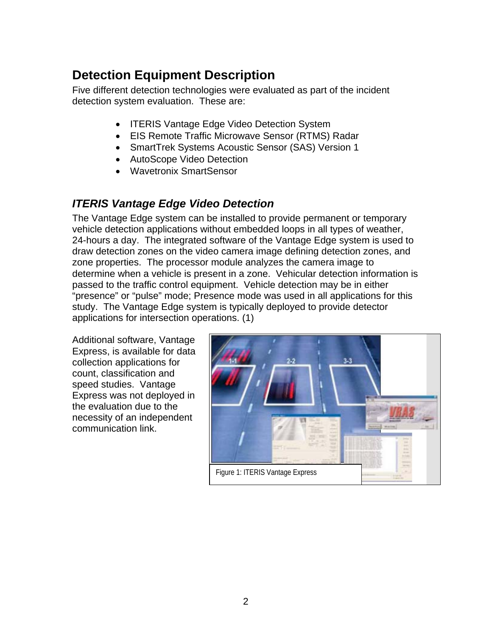# **Detection Equipment Description**

Five different detection technologies were evaluated as part of the incident detection system evaluation. These are:

- ITERIS Vantage Edge Video Detection System
- EIS Remote Traffic Microwave Sensor (RTMS) Radar
- SmartTrek Systems Acoustic Sensor (SAS) Version 1
- AutoScope Video Detection
- Wavetronix SmartSensor

#### *ITERIS Vantage Edge Video Detection*

The Vantage Edge system can be installed to provide permanent or temporary vehicle detection applications without embedded loops in all types of weather, 24-hours a day. The integrated software of the Vantage Edge system is used to draw detection zones on the video camera image defining detection zones, and zone properties. The processor module analyzes the camera image to determine when a vehicle is present in a zone. Vehicular detection information is passed to the traffic control equipment. Vehicle detection may be in either "presence" or "pulse" mode; Presence mode was used in all applications for this study. The Vantage Edge system is typically deployed to provide detector applications for intersection operations. (1)

Additional software, Vantage Express, is available for data collection applications for count, classification and speed studies. Vantage Express was not deployed in the evaluation due to the necessity of an independent communication link.

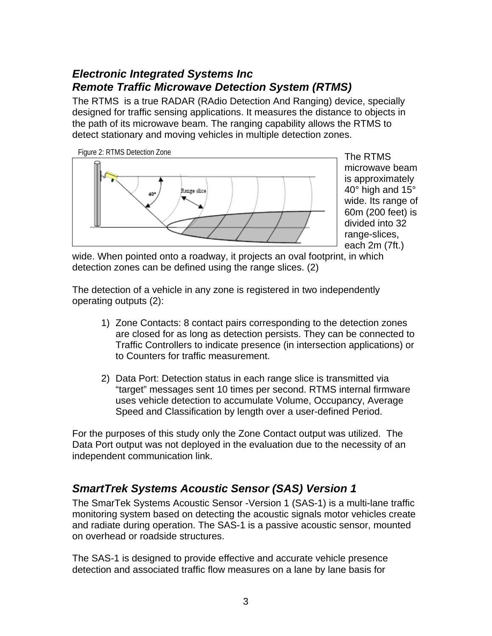#### *Electronic Integrated Systems Inc Remote Traffic Microwave Detection System (RTMS)*

The RTMS is a true RADAR (RAdio Detection And Ranging) device, specially designed for traffic sensing applications. It measures the distance to objects in the path of its microwave beam. The ranging capability allows the RTMS to detect stationary and moving vehicles in multiple detection zones.



The RTMS microwave beam is approximately 40° high and 15° wide. Its range of 60m (200 feet) is divided into 32 range-slices, each 2m (7ft.)

wide. When pointed onto a roadway, it projects an oval footprint, in which detection zones can be defined using the range slices. (2)

The detection of a vehicle in any zone is registered in two independently operating outputs (2):

- 1) Zone Contacts: 8 contact pairs corresponding to the detection zones are closed for as long as detection persists. They can be connected to Traffic Controllers to indicate presence (in intersection applications) or to Counters for traffic measurement.
- 2) Data Port: Detection status in each range slice is transmitted via "target" messages sent 10 times per second. RTMS internal firmware uses vehicle detection to accumulate Volume, Occupancy, Average Speed and Classification by length over a user-defined Period.

For the purposes of this study only the Zone Contact output was utilized. The Data Port output was not deployed in the evaluation due to the necessity of an independent communication link.

#### *SmartTrek Systems Acoustic Sensor (SAS) Version 1*

The SmarTek Systems Acoustic Sensor -Version 1 (SAS-1) is a multi-lane traffic monitoring system based on detecting the acoustic signals motor vehicles create and radiate during operation. The SAS-1 is a passive acoustic sensor, mounted on overhead or roadside structures.

The SAS-1 is designed to provide effective and accurate vehicle presence detection and associated traffic flow measures on a lane by lane basis for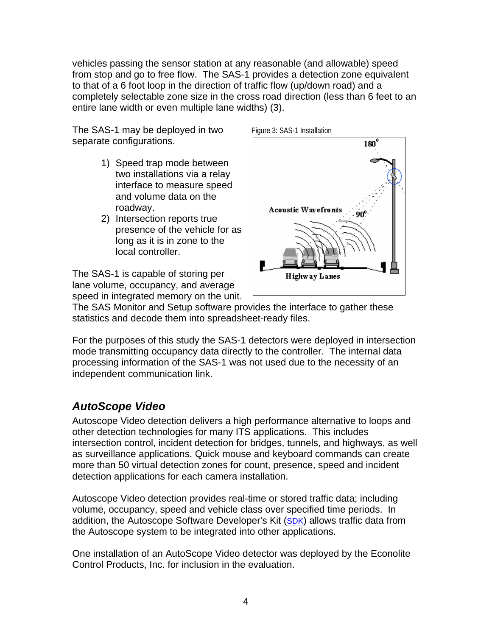vehicles passing the sensor station at any reasonable (and allowable) speed from stop and go to free flow. The SAS-1 provides a detection zone equivalent to that of a 6 foot loop in the direction of traffic flow (up/down road) and a completely selectable zone size in the cross road direction (less than 6 feet to an entire lane width or even multiple lane widths) (3).

The SAS-1 may be deployed in two separate configurations.

- 1) Speed trap mode between two installations via a relay interface to measure speed and volume data on the roadway.
- 2) Intersection reports true presence of the vehicle for as long as it is in zone to the local controller.

The SAS-1 is capable of storing per lane volume, occupancy, and average speed in integrated memory on the unit.



The SAS Monitor and Setup software provides the interface to gather these statistics and decode them into spreadsheet-ready files.

For the purposes of this study the SAS-1 detectors were deployed in intersection mode transmitting occupancy data directly to the controller. The internal data processing information of the SAS-1 was not used due to the necessity of an independent communication link.

#### *AutoScope Video*

Autoscope Video detection delivers a high performance alternative to loops and other detection technologies for many ITS applications. This includes intersection control, incident detection for bridges, tunnels, and highways, as well as surveillance applications. Quick mouse and keyboard commands can create more than 50 virtual detection zones for count, presence, speed and incident detection applications for each camera installation.

Autoscope Video detection provides real-time or stored traffic data; including volume, occupancy, speed and vehicle class over specified time periods. In addition, the Autoscope Software Developer's Kit (SDK) allows traffic data from the Autoscope system to be integrated into other applications.

One installation of an AutoScope Video detector was deployed by the Econolite Control Products, Inc. for inclusion in the evaluation.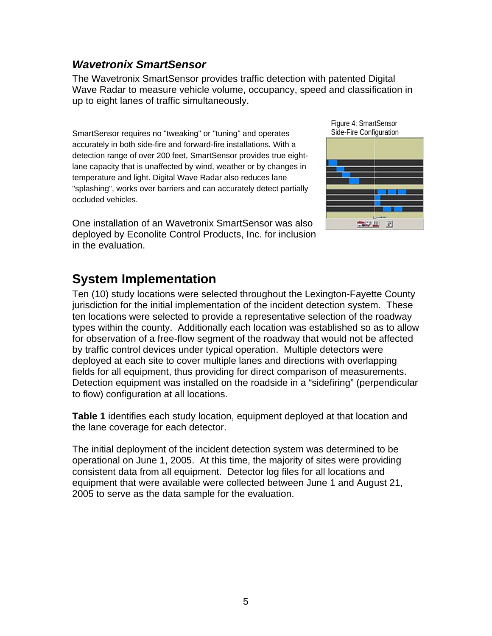#### *Wavetronix SmartSensor*

The Wavetronix SmartSensor provides traffic detection with patented Digital Wave Radar to measure vehicle volume, occupancy, speed and classification in up to eight lanes of traffic simultaneously.

SmartSensor requires no "tweaking" or "tuning" and operates accurately in both side-fire and forward-fire installations. With a detection range of over 200 feet, SmartSensor provides true eightlane capacity that is unaffected by wind, weather or by changes in temperature and light. Digital Wave Radar also reduces lane "splashing", works over barriers and can accurately detect partially occluded vehicles.

One installation of an Wavetronix SmartSensor was also deployed by Econolite Control Products, Inc. for inclusion in the evaluation.



## **System Implementation**

Ten (10) study locations were selected throughout the Lexington-Fayette County jurisdiction for the initial implementation of the incident detection system. These ten locations were selected to provide a representative selection of the roadway types within the county. Additionally each location was established so as to allow for observation of a free-flow segment of the roadway that would not be affected by traffic control devices under typical operation. Multiple detectors were deployed at each site to cover multiple lanes and directions with overlapping fields for all equipment, thus providing for direct comparison of measurements. Detection equipment was installed on the roadside in a "sidefiring" (perpendicular to flow) configuration at all locations.

**Table 1** identifies each study location, equipment deployed at that location and the lane coverage for each detector.

The initial deployment of the incident detection system was determined to be operational on June 1, 2005. At this time, the majority of sites were providing consistent data from all equipment. Detector log files for all locations and equipment that were available were collected between June 1 and August 21, 2005 to serve as the data sample for the evaluation.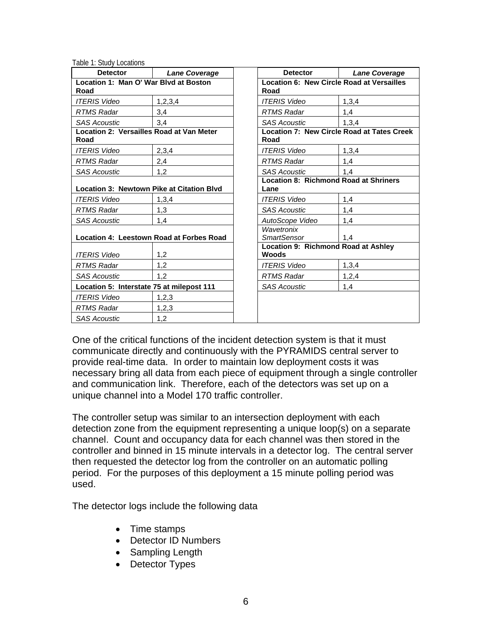Table 1: Study Locations

| <b>Detector</b>                                         | <b>Lane Coverage</b>                     | <b>Detector</b>                                      | <b>Lane Coverage</b>                              |  |
|---------------------------------------------------------|------------------------------------------|------------------------------------------------------|---------------------------------------------------|--|
| Location 1: Man O' War Blyd at Boston<br>Road           |                                          | Location 6: New Circle Road at Versailles<br>Road    |                                                   |  |
| <b>ITERIS Video</b>                                     | 1,2,3,4                                  | <b>ITERIS Video</b>                                  | 1,3,4                                             |  |
| <b>RTMS Radar</b>                                       | 3,4                                      | <b>RTMS Radar</b>                                    | 1,4                                               |  |
| <b>SAS Acoustic</b>                                     | 3,4                                      | <b>SAS Acoustic</b>                                  | 1,3,4                                             |  |
| <b>Location 2: Versailles Road at Van Meter</b><br>Road |                                          | Road                                                 | <b>Location 7: New Circle Road at Tates Creek</b> |  |
| <b>ITERIS Video</b>                                     | 2,3,4                                    | <b>ITERIS Video</b>                                  | 1,3,4                                             |  |
| <b>RTMS Radar</b>                                       | 2,4                                      | <b>RTMS Radar</b>                                    | 1,4                                               |  |
| <b>SAS Acoustic</b>                                     | 1,2                                      | <b>SAS Acoustic</b>                                  | 1,4                                               |  |
| Location 3: Newtown Pike at Citation Blvd               |                                          | <b>Location 8: Richmond Road at Shriners</b><br>Lane |                                                   |  |
| <b>ITERIS Video</b>                                     | 1,3,4                                    | <b>ITERIS Video</b>                                  | 1,4                                               |  |
| <b>RTMS Radar</b>                                       | 1,3                                      | <b>SAS Acoustic</b>                                  | 1,4                                               |  |
| <b>SAS Acoustic</b>                                     | 1,4                                      | AutoScope Video                                      | 1,4                                               |  |
|                                                         | Location 4: Leestown Road at Forbes Road | Wavetronix<br><b>SmartSensor</b>                     | 1,4                                               |  |
| <b>ITERIS Video</b>                                     | 1,2                                      | Location 9: Richmond Road at Ashley<br><b>Woods</b>  |                                                   |  |
| <b>RTMS Radar</b>                                       | 1,2                                      | <b>ITERIS Video</b>                                  | 1,3,4                                             |  |
| <b>SAS Acoustic</b>                                     | 1,2                                      | <b>RTMS Radar</b>                                    | 1,2,4                                             |  |
| Location 5: Interstate 75 at milepost 111               |                                          | <b>SAS Acoustic</b>                                  | 1,4                                               |  |
| <b>ITERIS Video</b>                                     | 1,2,3                                    |                                                      |                                                   |  |
| <b>RTMS Radar</b>                                       | 1,2,3                                    |                                                      |                                                   |  |
| <b>SAS Acoustic</b>                                     | 1,2                                      |                                                      |                                                   |  |

One of the critical functions of the incident detection system is that it must communicate directly and continuously with the PYRAMIDS central server to provide real-time data. In order to maintain low deployment costs it was necessary bring all data from each piece of equipment through a single controller and communication link. Therefore, each of the detectors was set up on a unique channel into a Model 170 traffic controller.

The controller setup was similar to an intersection deployment with each detection zone from the equipment representing a unique loop(s) on a separate channel. Count and occupancy data for each channel was then stored in the controller and binned in 15 minute intervals in a detector log. The central server then requested the detector log from the controller on an automatic polling period. For the purposes of this deployment a 15 minute polling period was used.

The detector logs include the following data

- Time stamps
- Detector ID Numbers
- Sampling Length
- Detector Types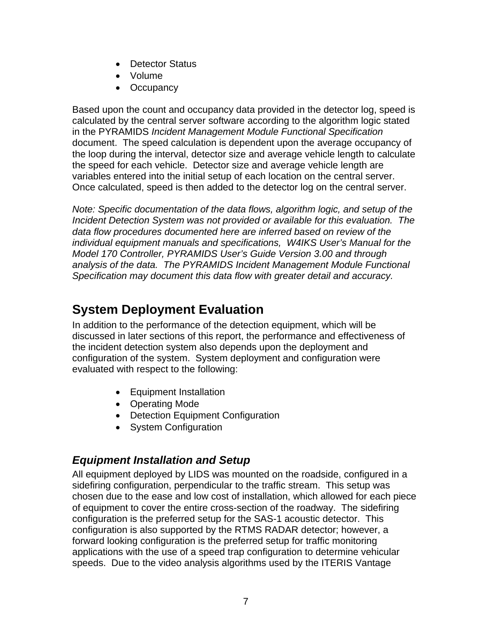- Detector Status
- Volume
- Occupancy

Based upon the count and occupancy data provided in the detector log, speed is calculated by the central server software according to the algorithm logic stated in the PYRAMIDS *Incident Management Module Functional Specification* document. The speed calculation is dependent upon the average occupancy of the loop during the interval, detector size and average vehicle length to calculate the speed for each vehicle. Detector size and average vehicle length are variables entered into the initial setup of each location on the central server. Once calculated, speed is then added to the detector log on the central server.

*Note: Specific documentation of the data flows, algorithm logic, and setup of the Incident Detection System was not provided or available for this evaluation. The data flow procedures documented here are inferred based on review of the individual equipment manuals and specifications, W4IKS User's Manual for the Model 170 Controller, PYRAMIDS User's Guide Version 3.00 and through analysis of the data. The PYRAMIDS Incident Management Module Functional Specification may document this data flow with greater detail and accuracy.* 

## **System Deployment Evaluation**

In addition to the performance of the detection equipment, which will be discussed in later sections of this report, the performance and effectiveness of the incident detection system also depends upon the deployment and configuration of the system. System deployment and configuration were evaluated with respect to the following:

- Equipment Installation
- Operating Mode
- Detection Equipment Configuration
- System Configuration

#### *Equipment Installation and Setup*

All equipment deployed by LIDS was mounted on the roadside, configured in a sidefiring configuration, perpendicular to the traffic stream. This setup was chosen due to the ease and low cost of installation, which allowed for each piece of equipment to cover the entire cross-section of the roadway. The sidefiring configuration is the preferred setup for the SAS-1 acoustic detector. This configuration is also supported by the RTMS RADAR detector; however, a forward looking configuration is the preferred setup for traffic monitoring applications with the use of a speed trap configuration to determine vehicular speeds. Due to the video analysis algorithms used by the ITERIS Vantage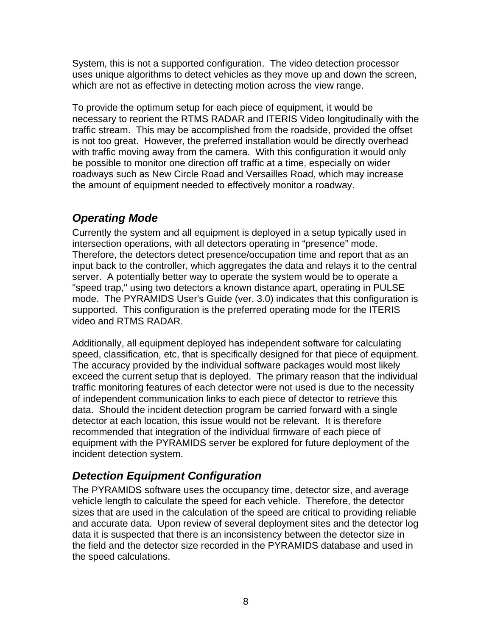System, this is not a supported configuration. The video detection processor uses unique algorithms to detect vehicles as they move up and down the screen, which are not as effective in detecting motion across the view range.

To provide the optimum setup for each piece of equipment, it would be necessary to reorient the RTMS RADAR and ITERIS Video longitudinally with the traffic stream. This may be accomplished from the roadside, provided the offset is not too great. However, the preferred installation would be directly overhead with traffic moving away from the camera. With this configuration it would only be possible to monitor one direction off traffic at a time, especially on wider roadways such as New Circle Road and Versailles Road, which may increase the amount of equipment needed to effectively monitor a roadway.

#### *Operating Mode*

Currently the system and all equipment is deployed in a setup typically used in intersection operations, with all detectors operating in "presence" mode. Therefore, the detectors detect presence/occupation time and report that as an input back to the controller, which aggregates the data and relays it to the central server. A potentially better way to operate the system would be to operate a "speed trap," using two detectors a known distance apart, operating in PULSE mode. The PYRAMIDS User's Guide (ver. 3.0) indicates that this configuration is supported. This configuration is the preferred operating mode for the ITERIS video and RTMS RADAR.

Additionally, all equipment deployed has independent software for calculating speed, classification, etc, that is specifically designed for that piece of equipment. The accuracy provided by the individual software packages would most likely exceed the current setup that is deployed. The primary reason that the individual traffic monitoring features of each detector were not used is due to the necessity of independent communication links to each piece of detector to retrieve this data. Should the incident detection program be carried forward with a single detector at each location, this issue would not be relevant. It is therefore recommended that integration of the individual firmware of each piece of equipment with the PYRAMIDS server be explored for future deployment of the incident detection system.

#### *Detection Equipment Configuration*

The PYRAMIDS software uses the occupancy time, detector size, and average vehicle length to calculate the speed for each vehicle. Therefore, the detector sizes that are used in the calculation of the speed are critical to providing reliable and accurate data. Upon review of several deployment sites and the detector log data it is suspected that there is an inconsistency between the detector size in the field and the detector size recorded in the PYRAMIDS database and used in the speed calculations.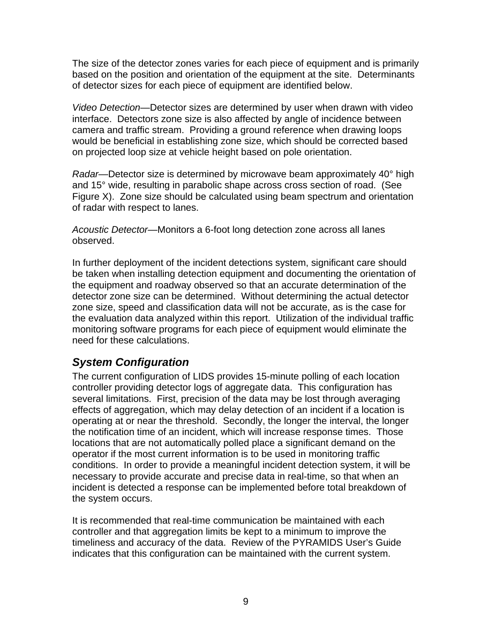The size of the detector zones varies for each piece of equipment and is primarily based on the position and orientation of the equipment at the site. Determinants of detector sizes for each piece of equipment are identified below.

*Video Detection*—Detector sizes are determined by user when drawn with video interface. Detectors zone size is also affected by angle of incidence between camera and traffic stream. Providing a ground reference when drawing loops would be beneficial in establishing zone size, which should be corrected based on projected loop size at vehicle height based on pole orientation.

*Radar*—Detector size is determined by microwave beam approximately 40° high and 15° wide, resulting in parabolic shape across cross section of road. (See Figure X). Zone size should be calculated using beam spectrum and orientation of radar with respect to lanes.

*Acoustic Detector*—Monitors a 6-foot long detection zone across all lanes observed.

In further deployment of the incident detections system, significant care should be taken when installing detection equipment and documenting the orientation of the equipment and roadway observed so that an accurate determination of the detector zone size can be determined. Without determining the actual detector zone size, speed and classification data will not be accurate, as is the case for the evaluation data analyzed within this report. Utilization of the individual traffic monitoring software programs for each piece of equipment would eliminate the need for these calculations.

#### *System Configuration*

The current configuration of LIDS provides 15-minute polling of each location controller providing detector logs of aggregate data. This configuration has several limitations. First, precision of the data may be lost through averaging effects of aggregation, which may delay detection of an incident if a location is operating at or near the threshold. Secondly, the longer the interval, the longer the notification time of an incident, which will increase response times. Those locations that are not automatically polled place a significant demand on the operator if the most current information is to be used in monitoring traffic conditions. In order to provide a meaningful incident detection system, it will be necessary to provide accurate and precise data in real-time, so that when an incident is detected a response can be implemented before total breakdown of the system occurs.

It is recommended that real-time communication be maintained with each controller and that aggregation limits be kept to a minimum to improve the timeliness and accuracy of the data. Review of the PYRAMIDS User's Guide indicates that this configuration can be maintained with the current system.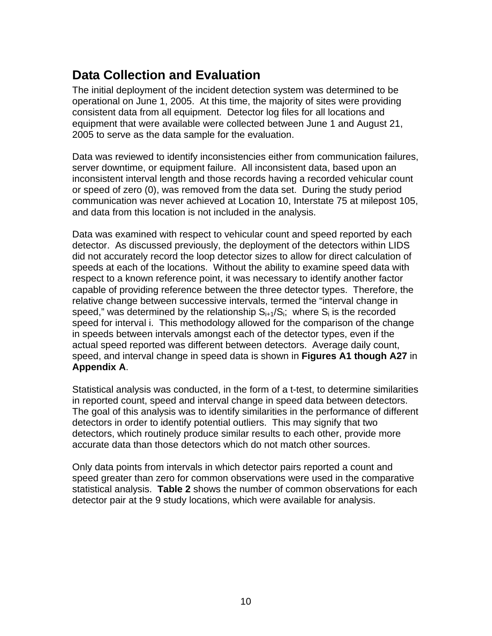## **Data Collection and Evaluation**

The initial deployment of the incident detection system was determined to be operational on June 1, 2005. At this time, the majority of sites were providing consistent data from all equipment. Detector log files for all locations and equipment that were available were collected between June 1 and August 21, 2005 to serve as the data sample for the evaluation.

Data was reviewed to identify inconsistencies either from communication failures, server downtime, or equipment failure. All inconsistent data, based upon an inconsistent interval length and those records having a recorded vehicular count or speed of zero (0), was removed from the data set. During the study period communication was never achieved at Location 10, Interstate 75 at milepost 105, and data from this location is not included in the analysis.

Data was examined with respect to vehicular count and speed reported by each detector. As discussed previously, the deployment of the detectors within LIDS did not accurately record the loop detector sizes to allow for direct calculation of speeds at each of the locations. Without the ability to examine speed data with respect to a known reference point, it was necessary to identify another factor capable of providing reference between the three detector types. Therefore, the relative change between successive intervals, termed the "interval change in speed," was determined by the relationship  $S_{i+1}/S_i$ ; where  $S_i$  is the recorded speed for interval i. This methodology allowed for the comparison of the change in speeds between intervals amongst each of the detector types, even if the actual speed reported was different between detectors. Average daily count, speed, and interval change in speed data is shown in **Figures A1 though A27** in **Appendix A**.

Statistical analysis was conducted, in the form of a t-test, to determine similarities in reported count, speed and interval change in speed data between detectors. The goal of this analysis was to identify similarities in the performance of different detectors in order to identify potential outliers. This may signify that two detectors, which routinely produce similar results to each other, provide more accurate data than those detectors which do not match other sources.

Only data points from intervals in which detector pairs reported a count and speed greater than zero for common observations were used in the comparative statistical analysis. **Table 2** shows the number of common observations for each detector pair at the 9 study locations, which were available for analysis.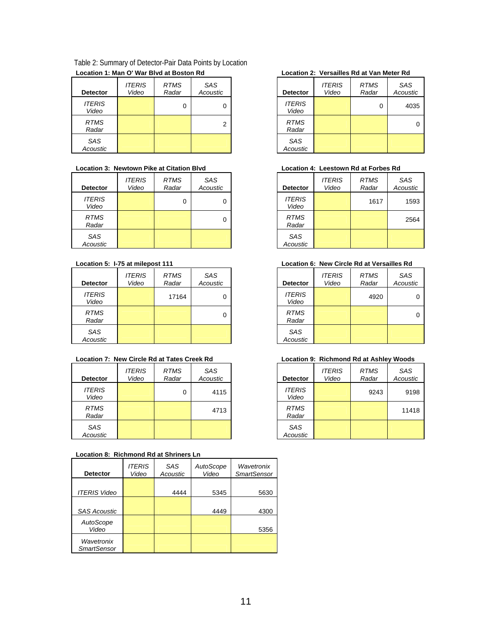| Table 2: Summary of Detector-Pair Data Points by Location |
|-----------------------------------------------------------|
| Location 1: Man O' War Blyd at Boston Rd                  |

| <b>Detector</b>        | <b>ITERIS</b><br>Video | <b>RTMS</b><br>Radar | SAS<br>Acoustic | <b>Detector</b>        |
|------------------------|------------------------|----------------------|-----------------|------------------------|
| <b>ITERIS</b><br>Video |                        | 0                    | 0               | <b>ITERIS</b><br>Video |
| <b>RTMS</b><br>Radar   |                        |                      | 2               | <b>RTMS</b><br>Radar   |
| SAS<br>Acoustic        |                        |                      |                 | SAS<br>Acoustic        |

#### Location 3: Newtown Pike at Citation Blvd **Location 4: Leestown Rd at Forbes Rd**

| <b>Detector</b>        | <b>ITERIS</b><br>Video | <b>RTMS</b><br>Radar | <b>SAS</b><br>Acoustic | Detector               |
|------------------------|------------------------|----------------------|------------------------|------------------------|
| <b>ITERIS</b><br>Video |                        | 0                    | 0                      | <b>ITERIS</b><br>Video |
| <b>RTMS</b><br>Radar   |                        |                      | 0                      | <b>RTMS</b><br>Radar   |
| SAS<br>Acoustic        |                        |                      |                        | SAS<br>Acoustic        |

| <b>Detector</b>        | <b>ITERIS</b><br>Video | <b>RTMS</b><br>Radar | <b>SAS</b><br>Acoustic | Detector               |
|------------------------|------------------------|----------------------|------------------------|------------------------|
| <b>ITERIS</b><br>Video |                        | 17164                | 0                      | <b>ITERIS</b><br>Video |
| <b>RTMS</b><br>Radar   |                        |                      | 0                      | <b>RTMS</b><br>Radar   |
| <b>SAS</b><br>Acoustic |                        |                      |                        | SAS<br>Acoustic        |

#### Location 7: New Circle Rd at Tates Creek Rd **Location 9: Richmond Rd at Ashley Woods**

| <b>Detector</b>        | <b>ITERIS</b><br>Video | <b>RTMS</b><br>Radar | <b>SAS</b><br>Acoustic | Detector               |
|------------------------|------------------------|----------------------|------------------------|------------------------|
| <b>ITERIS</b><br>Video |                        | 0                    | 4115                   | <b>ITERIS</b><br>Video |
| <b>RTMS</b><br>Radar   |                        |                      | 4713                   | <b>RTMS</b><br>Radar   |
| <b>SAS</b><br>Acoustic |                        |                      |                        | SAS<br>Acoustic        |

#### **Location 8: Richmond Rd at Shriners Ln**

| <b>Detector</b>                  | <i><b>ITERIS</b></i><br>Video | SAS<br>Acoustic | AutoScope<br>Video | Wavetronix<br><b>SmartSensor</b> |
|----------------------------------|-------------------------------|-----------------|--------------------|----------------------------------|
| <b>ITERIS Video</b>              |                               | 4444            | 5345               | 5630                             |
| <b>SAS Acoustic</b>              |                               |                 | 4449               | 4300                             |
| AutoScope<br>Video               |                               |                 |                    | 5356                             |
| Wavetronix<br><b>SmartSensor</b> |                               |                 |                    |                                  |

#### **Location 1: Man O' War Blvd at Boston Rd Location 2: Versailles Rd at Van Meter Rd**

| <b>Detector</b>        | <b>ITERIS</b><br>Video | <b>RTMS</b><br>Radar | SAS<br>Acoustic |
|------------------------|------------------------|----------------------|-----------------|
| <b>ITERIS</b><br>Video |                        | 0                    | 4035            |
| <b>RTMS</b><br>Radar   |                        |                      |                 |
| SAS<br>Acoustic        |                        |                      |                 |

| SAS<br>Acoustic | <b>Detector</b>        | <b>ITERIS</b><br>Video | <b>RTMS</b><br>Radar | SAS<br>Acoustic |
|-----------------|------------------------|------------------------|----------------------|-----------------|
| 0               | <b>ITERIS</b><br>Video |                        | 1617                 | 1593            |
| 0               | <b>RTMS</b><br>Radar   |                        |                      | 2564            |
|                 | SAS<br>Acoustic        |                        |                      |                 |

#### Location 5: 1-75 at milepost 111 **Location 6: New Circle Rd at Versailles Rd**

| SAS<br>Acoustic | <b>Detector</b>        | <b>ITERIS</b><br>Video | <b>RTMS</b><br>Radar | SAS<br>Acoustic |
|-----------------|------------------------|------------------------|----------------------|-----------------|
| 0               | <b>ITERIS</b><br>Video |                        | 4920                 | 0               |
| 0               | <b>RTMS</b><br>Radar   |                        |                      | 0               |
|                 | SAS<br>Acoustic        |                        |                      |                 |

| SAS<br>Acoustic | <b>Detector</b>        | <b>ITERIS</b><br>Video | <b>RTMS</b><br>Radar | SAS<br>Acoustic |
|-----------------|------------------------|------------------------|----------------------|-----------------|
| 4115            | <b>ITERIS</b><br>Video |                        | 9243                 | 9198            |
| 4713            | <b>RTMS</b><br>Radar   |                        |                      | 11418           |
|                 | SAS<br>Acoustic        |                        |                      |                 |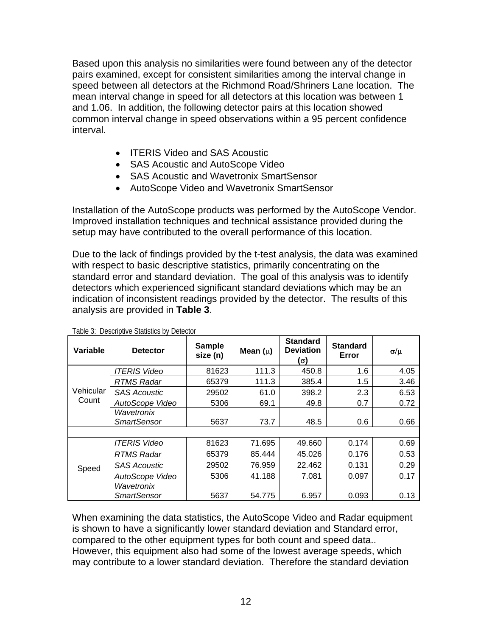Based upon this analysis no similarities were found between any of the detector pairs examined, except for consistent similarities among the interval change in speed between all detectors at the Richmond Road/Shriners Lane location. The mean interval change in speed for all detectors at this location was between 1 and 1.06. In addition, the following detector pairs at this location showed common interval change in speed observations within a 95 percent confidence interval.

- ITERIS Video and SAS Acoustic
- SAS Acoustic and AutoScope Video
- SAS Acoustic and Wavetronix SmartSensor
- AutoScope Video and Wavetronix SmartSensor

Installation of the AutoScope products was performed by the AutoScope Vendor. Improved installation techniques and technical assistance provided during the setup may have contributed to the overall performance of this location.

Due to the lack of findings provided by the t-test analysis, the data was examined with respect to basic descriptive statistics, primarily concentrating on the standard error and standard deviation. The goal of this analysis was to identify detectors which experienced significant standard deviations which may be an indication of inconsistent readings provided by the detector. The results of this analysis are provided in **Table 3**.

| Variable  | <b>Detector</b>                  | <b>Sample</b><br>size (n) | Mean $(\mu)$ | <b>Standard</b><br><b>Deviation</b><br>(σ) | <b>Standard</b><br>Error | σ/μ  |
|-----------|----------------------------------|---------------------------|--------------|--------------------------------------------|--------------------------|------|
|           | ITERIS Video                     | 81623                     | 111.3        | 450.8                                      | 1.6                      | 4.05 |
|           | RTMS Radar                       | 65379                     | 111.3        | 385.4                                      | 1.5                      | 3.46 |
| Vehicular | <b>SAS Acoustic</b>              | 29502                     | 61.0         | 398.2                                      | 2.3                      | 6.53 |
| Count     | AutoScope Video                  | 5306                      | 69.1         | 49.8                                       | 0.7                      | 0.72 |
|           | Wavetronix<br><b>SmartSensor</b> | 5637                      | 73.7         | 48.5                                       | 0.6                      | 0.66 |
|           | <b>ITERIS Video</b>              | 81623                     | 71.695       | 49.660                                     | 0.174                    | 0.69 |
|           | <b>RTMS Radar</b>                | 65379                     | 85.444       | 45.026                                     | 0.176                    | 0.53 |
| Speed     | <b>SAS Acoustic</b>              | 29502                     | 76.959       | 22.462                                     | 0.131                    | 0.29 |
|           | AutoScope Video                  | 5306                      | 41.188       | 7.081                                      | 0.097                    | 0.17 |
|           | Wavetronix<br><b>SmartSensor</b> | 5637                      | 54.775       | 6.957                                      | 0.093                    | 0.13 |

Table 3: Descriptive Statistics by Detector

When examining the data statistics, the AutoScope Video and Radar equipment is shown to have a significantly lower standard deviation and Standard error, compared to the other equipment types for both count and speed data.. However, this equipment also had some of the lowest average speeds, which may contribute to a lower standard deviation. Therefore the standard deviation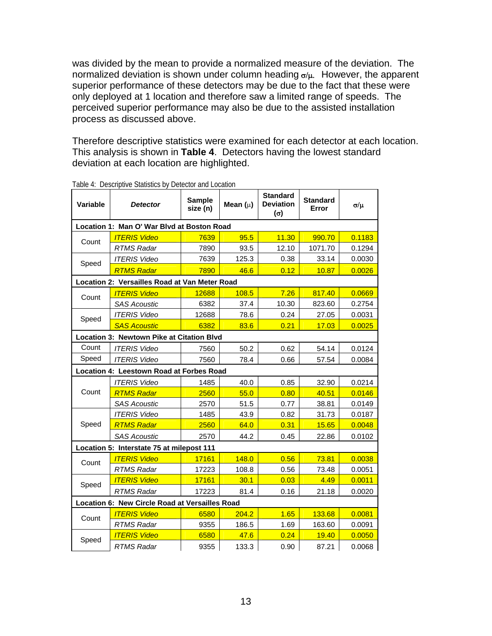was divided by the mean to provide a normalized measure of the deviation. The normalized deviation is shown under column heading  $\sigma/\mu$ . However, the apparent superior performance of these detectors may be due to the fact that these were only deployed at 1 location and therefore saw a limited range of speeds. The perceived superior performance may also be due to the assisted installation process as discussed above.

Therefore descriptive statistics were examined for each detector at each location. This analysis is shown in **Table 4**. Detectors having the lowest standard deviation at each location are highlighted.

| <b>Variable</b>                                | rable 4. Descriptive Jiansiics by Detector and Eucation<br><b>Detector</b> | <b>Sample</b><br>size (n) | Mean $(\mu)$ | <b>Standard</b><br><b>Deviation</b><br>$(\sigma)$ | <b>Standard</b><br>Error | σ/μ    |  |  |
|------------------------------------------------|----------------------------------------------------------------------------|---------------------------|--------------|---------------------------------------------------|--------------------------|--------|--|--|
| Location 1: Man O' War Blvd at Boston Road     |                                                                            |                           |              |                                                   |                          |        |  |  |
| Count                                          | <b>ITERIS Video</b>                                                        | 7639                      | 95.5         | 11.30                                             | 990.70                   | 0.1183 |  |  |
|                                                | <b>RTMS Radar</b>                                                          | 7890                      | 93.5         | 12.10                                             | 1071.70                  | 0.1294 |  |  |
| Speed                                          | <b>ITERIS Video</b>                                                        | 7639                      | 125.3        | 0.38                                              | 33.14                    | 0.0030 |  |  |
|                                                | <b>RTMS Radar</b>                                                          | 7890                      | 46.6         | 0.12                                              | 10.87                    | 0.0026 |  |  |
|                                                | Location 2: Versailles Road at Van Meter Road                              |                           |              |                                                   |                          |        |  |  |
| Count                                          | <b>ITERIS Video</b>                                                        | 12688                     | 108.5        | 7.26                                              | 817.40                   | 0.0669 |  |  |
|                                                | <b>SAS Acoustic</b>                                                        | 6382                      | 37.4         | 10.30                                             | 823.60                   | 0.2754 |  |  |
| Speed                                          | <b>ITERIS Video</b>                                                        | 12688                     | 78.6         | 0.24                                              | 27.05                    | 0.0031 |  |  |
|                                                | <b>SAS Acoustic</b>                                                        | 6382                      | 83.6         | 0.21                                              | 17.03                    | 0.0025 |  |  |
|                                                | Location 3: Newtown Pike at Citation Blvd                                  |                           |              |                                                   |                          |        |  |  |
| Count                                          | <b>ITERIS Video</b>                                                        | 7560                      | 50.2         | 0.62                                              | 54.14                    | 0.0124 |  |  |
| Speed                                          | <b>ITERIS Video</b>                                                        | 7560                      | 78.4         | 0.66                                              | 57.54                    | 0.0084 |  |  |
|                                                | Location 4: Leestown Road at Forbes Road                                   |                           |              |                                                   |                          |        |  |  |
|                                                | <b>ITERIS Video</b>                                                        | 1485                      | 40.0         | 0.85                                              | 32.90                    | 0.0214 |  |  |
| Count                                          | <b>RTMS Radar</b>                                                          | 2560                      | 55.0         | 0.80                                              | 40.51                    | 0.0146 |  |  |
|                                                | <b>SAS Acoustic</b>                                                        | 2570                      | 51.5         | 0.77                                              | 38.81                    | 0.0149 |  |  |
|                                                | <b>ITERIS Video</b>                                                        | 1485                      | 43.9         | 0.82                                              | 31.73                    | 0.0187 |  |  |
| Speed                                          | <b>RTMS Radar</b>                                                          | 2560                      | 64.0         | 0.31                                              | 15.65                    | 0.0048 |  |  |
|                                                | <b>SAS Acoustic</b>                                                        | 2570                      | 44.2         | 0.45                                              | 22.86                    | 0.0102 |  |  |
|                                                | Location 5: Interstate 75 at milepost 111                                  |                           |              |                                                   |                          |        |  |  |
| Count                                          | <b>ITERIS Video</b>                                                        | 17161                     | 148.0        | 0.56                                              | 73.81                    | 0.0038 |  |  |
|                                                | <b>RTMS Radar</b>                                                          | 17223                     | 108.8        | 0.56                                              | 73.48                    | 0.0051 |  |  |
| Speed                                          | <b>ITERIS Video</b>                                                        | 17161                     | 30.1         | 0.03                                              | 4.49                     | 0.0011 |  |  |
|                                                | <b>RTMS Radar</b>                                                          | 17223                     | 81.4         | 0.16                                              | 21.18                    | 0.0020 |  |  |
| Location 6: New Circle Road at Versailles Road |                                                                            |                           |              |                                                   |                          |        |  |  |
| Count                                          | <b>ITERIS Video</b>                                                        | 6580                      | 204.2        | 1.65                                              | 133.68                   | 0.0081 |  |  |
|                                                | <b>RTMS Radar</b>                                                          | 9355                      | 186.5        | 1.69                                              | 163.60                   | 0.0091 |  |  |
| Speed                                          | <b>ITERIS Video</b>                                                        | 6580                      | 47.6         | 0.24                                              | 19.40                    | 0.0050 |  |  |
|                                                | <b>RTMS Radar</b>                                                          | 9355                      | 133.3        | 0.90                                              | 87.21                    | 0.0068 |  |  |

Table 4: Descriptive Statistics by Detector and Location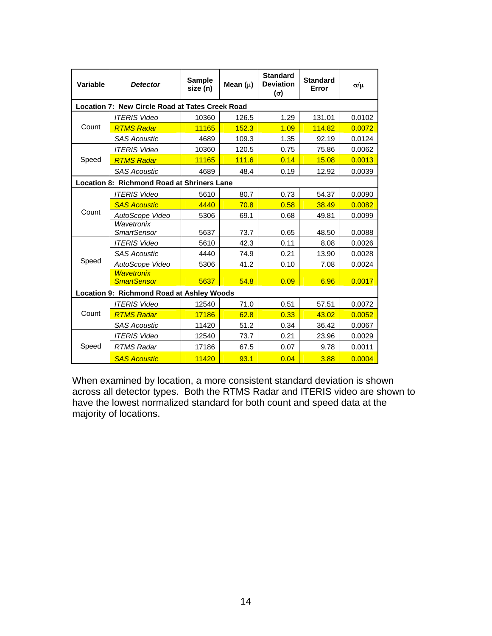| Variable                                        | <b>Detector</b>                            | <b>Sample</b><br>size (n) | Mean $(\mu)$ | <b>Standard</b><br><b>Deviation</b><br>$(\sigma)$ | <b>Standard</b><br>Error | σ/μ    |  |
|-------------------------------------------------|--------------------------------------------|---------------------------|--------------|---------------------------------------------------|--------------------------|--------|--|
| Location 7: New Circle Road at Tates Creek Road |                                            |                           |              |                                                   |                          |        |  |
|                                                 | <b>ITERIS Video</b>                        | 10360                     | 126.5        | 1.29                                              | 131.01                   | 0.0102 |  |
| Count                                           | <b>RTMS Radar</b>                          | 11165                     | 152.3        | 1.09                                              | 114.82                   | 0.0072 |  |
|                                                 | <b>SAS Acoustic</b>                        | 4689                      | 109.3        | 1.35                                              | 92.19                    | 0.0124 |  |
|                                                 | <b>ITERIS Video</b>                        | 10360                     | 120.5        | 0.75                                              | 75.86                    | 0.0062 |  |
| Speed                                           | <b>RTMS Radar</b>                          | 11165                     | 111.6        | 0.14                                              | 15.08                    | 0.0013 |  |
|                                                 | <b>SAS Acoustic</b>                        | 4689                      | 48.4         | 0.19                                              | 12.92                    | 0.0039 |  |
|                                                 | Location 8: Richmond Road at Shriners Lane |                           |              |                                                   |                          |        |  |
|                                                 | <b>ITERIS Video</b>                        | 5610                      | 80.7         | 0.73                                              | 54.37                    | 0.0090 |  |
|                                                 | <b>SAS Acoustic</b>                        | 4440                      | 70.8         | 0.58                                              | 38.49                    | 0.0082 |  |
| Count                                           | AutoScope Video                            | 5306                      | 69.1         | 0.68                                              | 49.81                    | 0.0099 |  |
|                                                 | Wavetronix<br><b>SmartSensor</b>           | 5637                      | 73.7         | 0.65                                              | 48.50                    | 0.0088 |  |
|                                                 | <b>ITERIS Video</b>                        | 5610                      | 42.3         | 0.11                                              | 8.08                     | 0.0026 |  |
|                                                 | <b>SAS Acoustic</b>                        | 4440                      | 74.9         | 0.21                                              | 13.90                    | 0.0028 |  |
| Speed                                           | AutoScope Video                            | 5306                      | 41.2         | 0.10                                              | 7.08                     | 0.0024 |  |
|                                                 | <b>Wavetronix</b><br><b>SmartSensor</b>    | 5637                      | 54.8         | 0.09                                              | 6.96                     | 0.0017 |  |
| Location 9: Richmond Road at Ashley Woods       |                                            |                           |              |                                                   |                          |        |  |
|                                                 | <b>ITERIS Video</b>                        | 12540                     | 71.0         | 0.51                                              | 57.51                    | 0.0072 |  |
| Count                                           | <b>RTMS Radar</b>                          | 17186                     | 62.8         | 0.33                                              | 43.02                    | 0.0052 |  |
|                                                 | <b>SAS Acoustic</b>                        | 11420                     | 51.2         | 0.34                                              | 36.42                    | 0.0067 |  |
|                                                 | <b>ITERIS Video</b>                        | 12540                     | 73.7         | 0.21                                              | 23.96                    | 0.0029 |  |
| Speed                                           | <b>RTMS Radar</b>                          | 17186                     | 67.5         | 0.07                                              | 9.78                     | 0.0011 |  |
|                                                 | <b>SAS Acoustic</b>                        | 11420                     | 93.1         | 0.04                                              | 3.88                     | 0.0004 |  |

When examined by location, a more consistent standard deviation is shown across all detector types. Both the RTMS Radar and ITERIS video are shown to have the lowest normalized standard for both count and speed data at the majority of locations.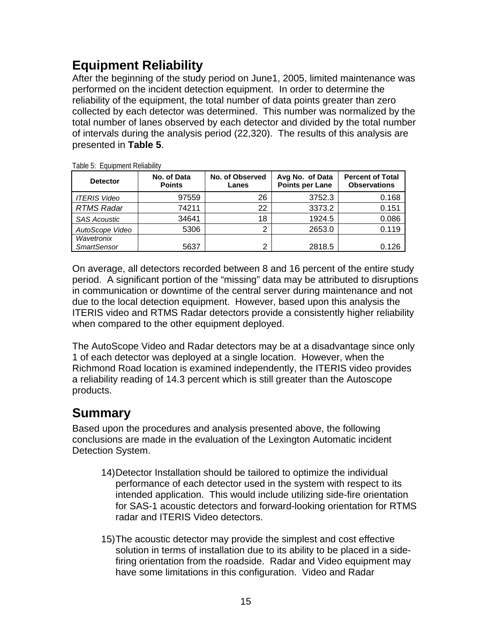# **Equipment Reliability**

After the beginning of the study period on June1, 2005, limited maintenance was performed on the incident detection equipment. In order to determine the reliability of the equipment, the total number of data points greater than zero collected by each detector was determined. This number was normalized by the total number of lanes observed by each detector and divided by the total number of intervals during the analysis period (22,320). The results of this analysis are presented in **Table 5**.

| <b>Detector</b>                  | No. of Data<br><b>Points</b> | No. of Observed<br>Lanes | Avg No. of Data<br>Points per Lane | <b>Percent of Total</b><br><b>Observations</b> |
|----------------------------------|------------------------------|--------------------------|------------------------------------|------------------------------------------------|
| <b>ITERIS Video</b>              | 97559                        | 26                       | 3752.3                             | 0.168                                          |
| <b>RTMS Radar</b>                | 74211                        | 22                       | 3373.2                             | 0.151                                          |
| <b>SAS Acoustic</b>              | 34641                        | 18                       | 1924.5                             | 0.086                                          |
| AutoScope Video                  | 5306                         | ⌒                        | 2653.0                             | 0.119                                          |
| Wavetronix<br><b>SmartSensor</b> | 5637                         | ◠                        | 2818.5                             | 0.126                                          |

Table 5: Equipment Reliability

On average, all detectors recorded between 8 and 16 percent of the entire study period. A significant portion of the "missing" data may be attributed to disruptions in communication or downtime of the central server during maintenance and not due to the local detection equipment. However, based upon this analysis the ITERIS video and RTMS Radar detectors provide a consistently higher reliability when compared to the other equipment deployed.

The AutoScope Video and Radar detectors may be at a disadvantage since only 1 of each detector was deployed at a single location. However, when the Richmond Road location is examined independently, the ITERIS video provides a reliability reading of 14.3 percent which is still greater than the Autoscope products.

## **Summary**

Based upon the procedures and analysis presented above, the following conclusions are made in the evaluation of the Lexington Automatic incident Detection System.

- 14) Detector Installation should be tailored to optimize the individual performance of each detector used in the system with respect to its intended application. This would include utilizing side-fire orientation for SAS-1 acoustic detectors and forward-looking orientation for RTMS radar and ITERIS Video detectors.
- 15) The acoustic detector may provide the simplest and cost effective solution in terms of installation due to its ability to be placed in a sidefiring orientation from the roadside. Radar and Video equipment may have some limitations in this configuration. Video and Radar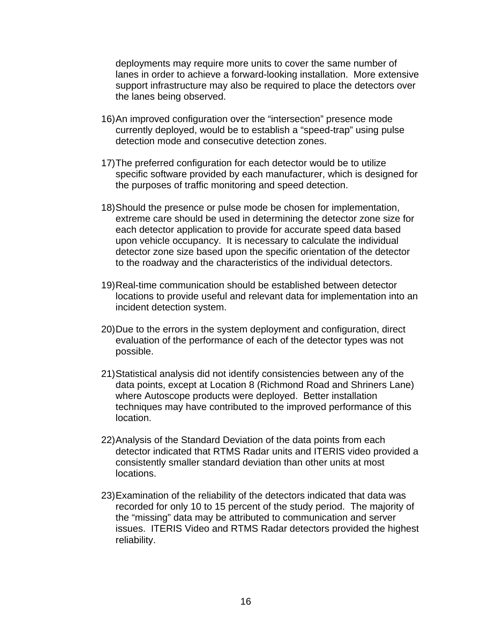deployments may require more units to cover the same number of lanes in order to achieve a forward-looking installation. More extensive support infrastructure may also be required to place the detectors over the lanes being observed.

- 16) An improved configuration over the "intersection" presence mode currently deployed, would be to establish a "speed-trap" using pulse detection mode and consecutive detection zones.
- 17) The preferred configuration for each detector would be to utilize specific software provided by each manufacturer, which is designed for the purposes of traffic monitoring and speed detection.
- 18) Should the presence or pulse mode be chosen for implementation, extreme care should be used in determining the detector zone size for each detector application to provide for accurate speed data based upon vehicle occupancy. It is necessary to calculate the individual detector zone size based upon the specific orientation of the detector to the roadway and the characteristics of the individual detectors.
- 19) Real-time communication should be established between detector locations to provide useful and relevant data for implementation into an incident detection system.
- 20) Due to the errors in the system deployment and configuration, direct evaluation of the performance of each of the detector types was not possible.
- 21) Statistical analysis did not identify consistencies between any of the data points, except at Location 8 (Richmond Road and Shriners Lane) where Autoscope products were deployed. Better installation techniques may have contributed to the improved performance of this location.
- 22) Analysis of the Standard Deviation of the data points from each detector indicated that RTMS Radar units and ITERIS video provided a consistently smaller standard deviation than other units at most locations.
- 23) Examination of the reliability of the detectors indicated that data was recorded for only 10 to 15 percent of the study period. The majority of the "missing" data may be attributed to communication and server issues. ITERIS Video and RTMS Radar detectors provided the highest reliability.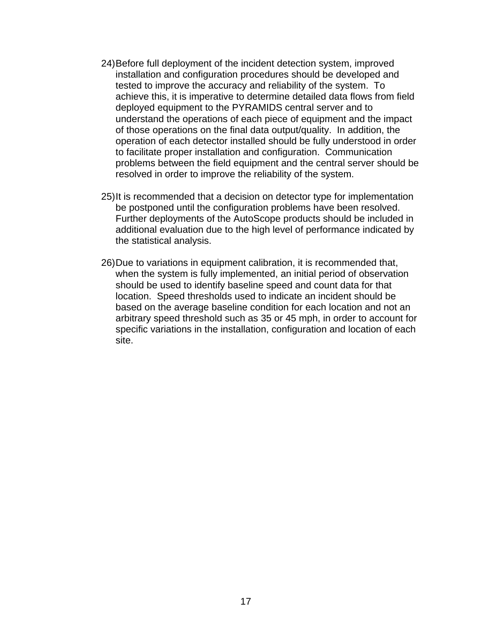- 24) Before full deployment of the incident detection system, improved installation and configuration procedures should be developed and tested to improve the accuracy and reliability of the system. To achieve this, it is imperative to determine detailed data flows from field deployed equipment to the PYRAMIDS central server and to understand the operations of each piece of equipment and the impact of those operations on the final data output/quality. In addition, the operation of each detector installed should be fully understood in order to facilitate proper installation and configuration. Communication problems between the field equipment and the central server should be resolved in order to improve the reliability of the system.
- 25) It is recommended that a decision on detector type for implementation be postponed until the configuration problems have been resolved. Further deployments of the AutoScope products should be included in additional evaluation due to the high level of performance indicated by the statistical analysis.
- 26) Due to variations in equipment calibration, it is recommended that, when the system is fully implemented, an initial period of observation should be used to identify baseline speed and count data for that location. Speed thresholds used to indicate an incident should be based on the average baseline condition for each location and not an arbitrary speed threshold such as 35 or 45 mph, in order to account for specific variations in the installation, configuration and location of each site.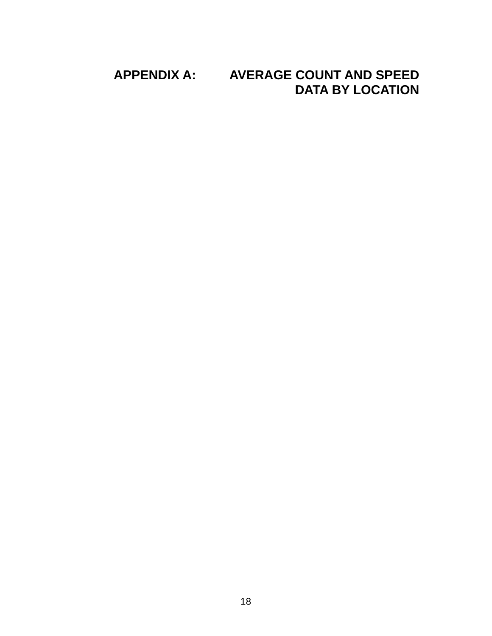#### **APPENDIX A: AVERAGE COUNT AND SPEED DATA BY LOCATION**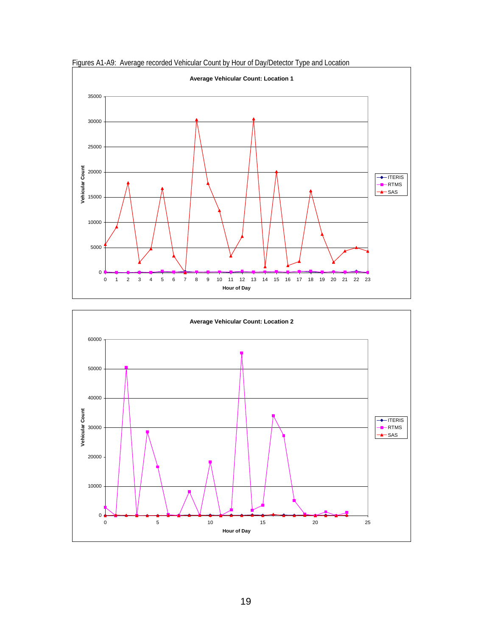

Figures A1-A9: Average recorded Vehicular Count by Hour of Day/Detector Type and Location

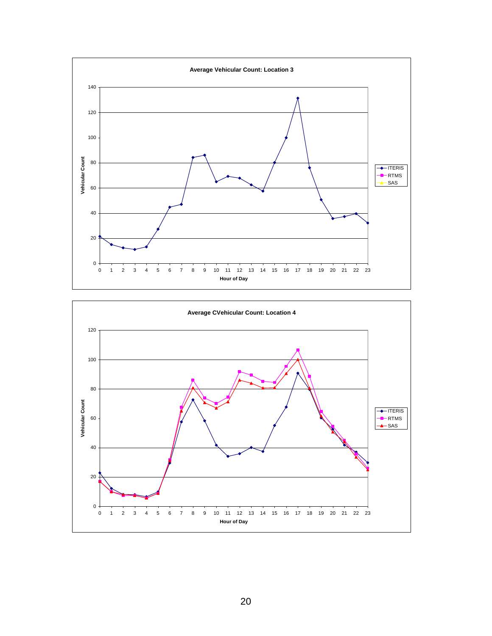

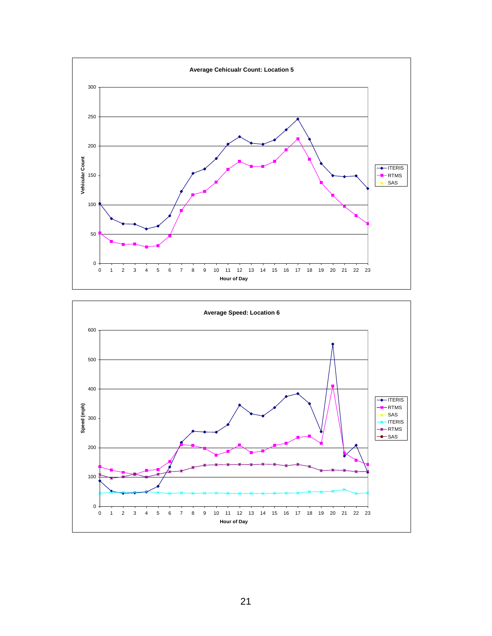

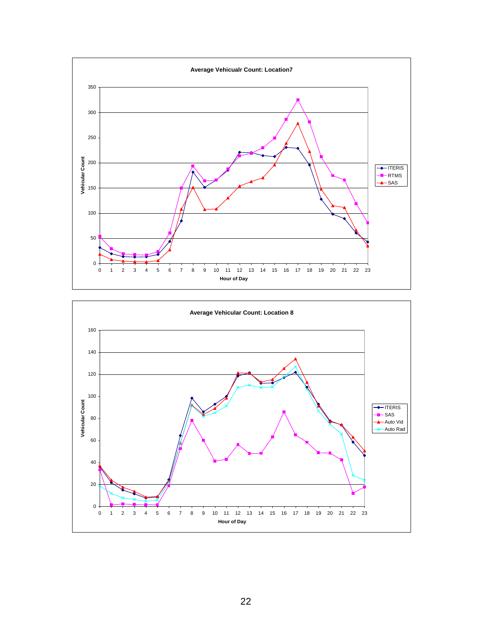

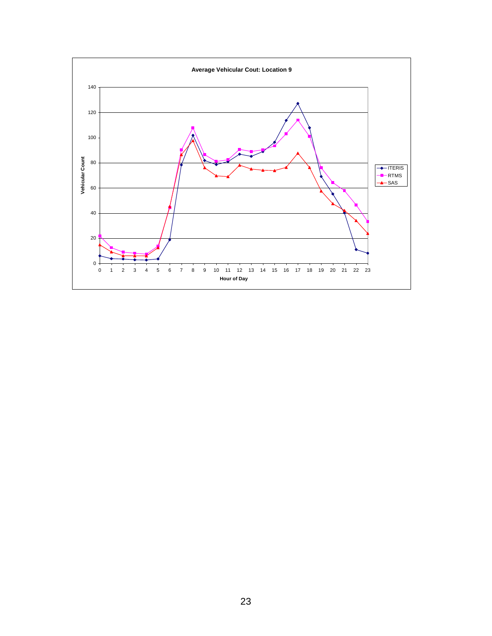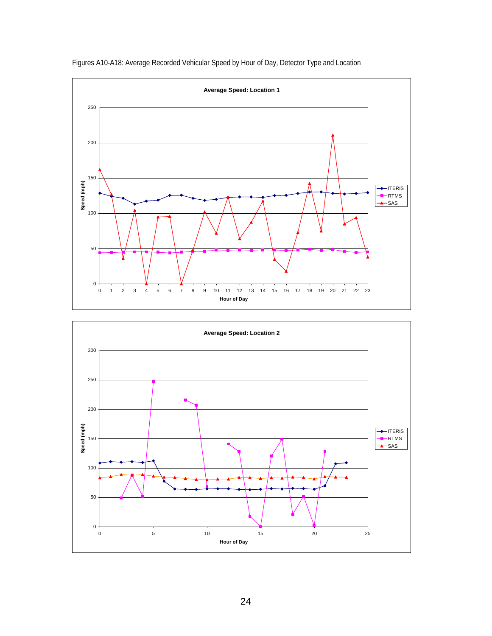

Figures A10-A18: Average Recorded Vehicular Speed by Hour of Day, Detector Type and Location

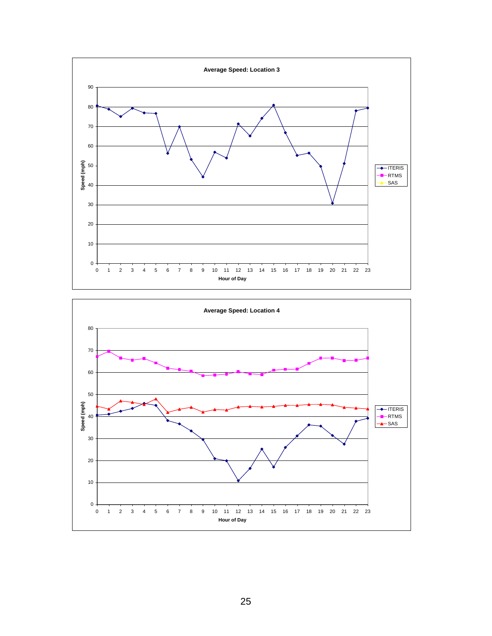

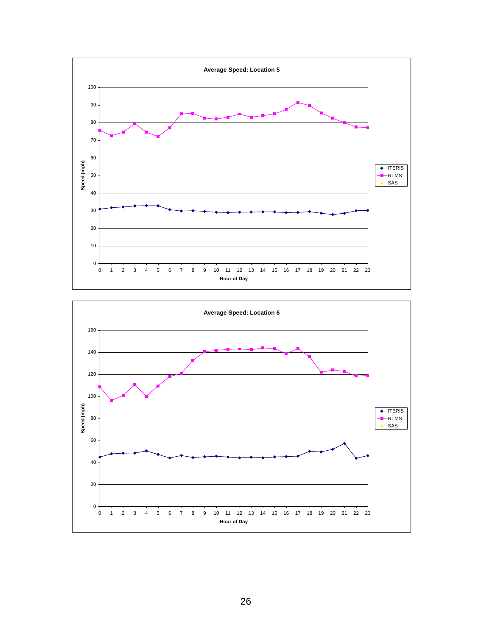

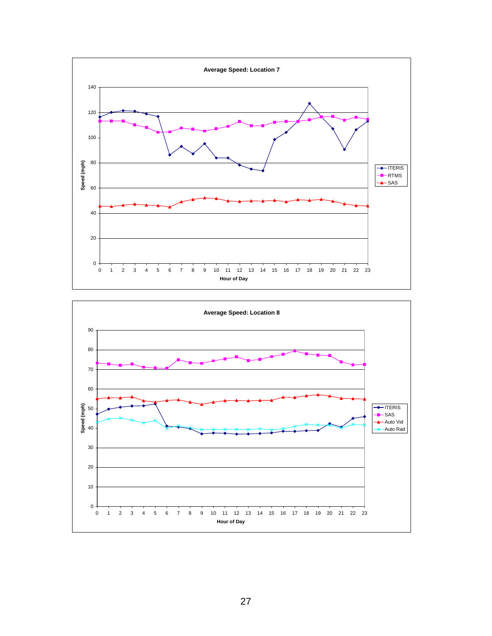

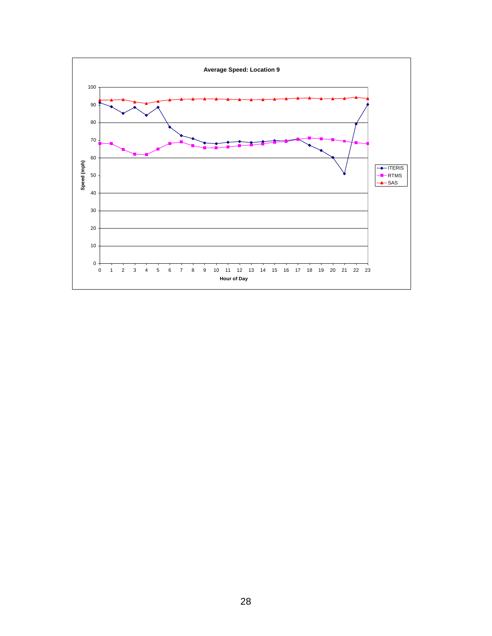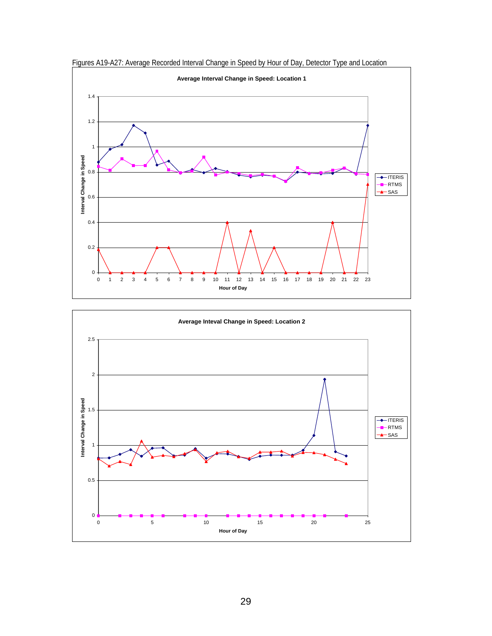

Figures A19-A27: Average Recorded Interval Change in Speed by Hour of Day, Detector Type and Location

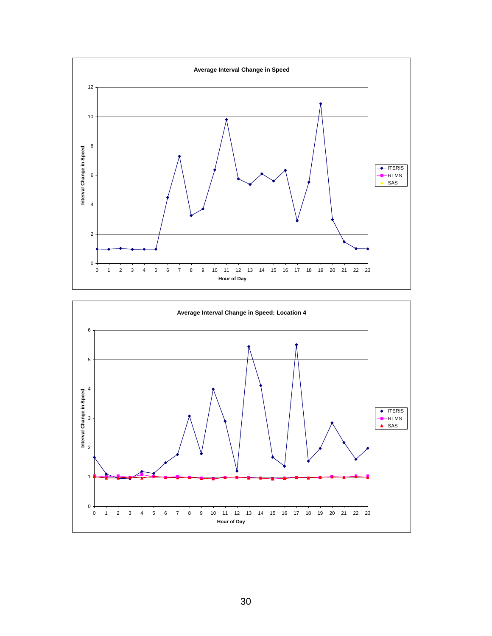

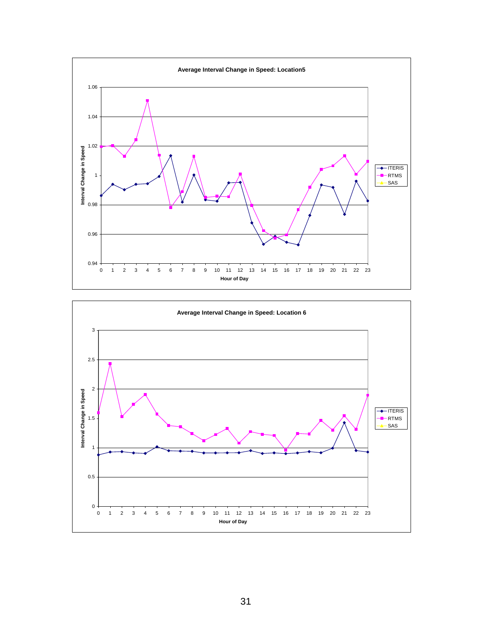

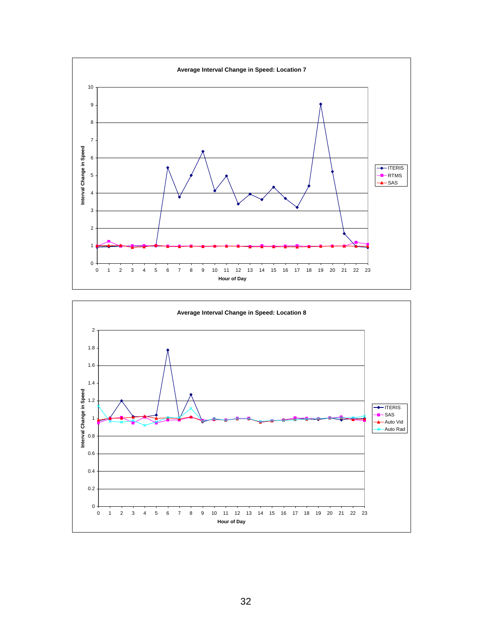